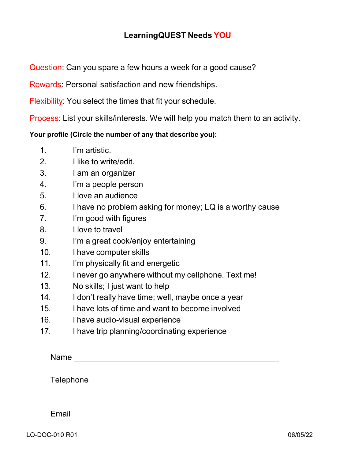## **LearningQUEST Needs YOU**

Question: Can you spare a few hours a week for a good cause?

Rewards: Personal satisfaction and new friendships.

Flexibility: You select the times that fit your schedule.

Process: List your skills/interests. We will help you match them to an activity.

## **Your profile (Circle the number of any that describe you):**

- 1. I'm artistic.
- 2. I like to write/edit.
- 3. I am an organizer
- 4. I'm a people person
- 5. I love an audience
- 6. I have no problem asking for money; LQ is a worthy cause
- 7. I'm good with figures
- 8. I love to travel
- 9. I'm a great cook/enjoy entertaining
- 10. I have computer skills
- 11. I'm physically fit and energetic
- 12. I never go anywhere without my cellphone. Text me!
- 13. No skills; I just want to help
- 14. I don't really have time; well, maybe once a year
- 15. I have lots of time and want to become involved
- 16. I have audio-visual experience
- 17. I have trip planning/coordinating experience

Name

Telephone

Email